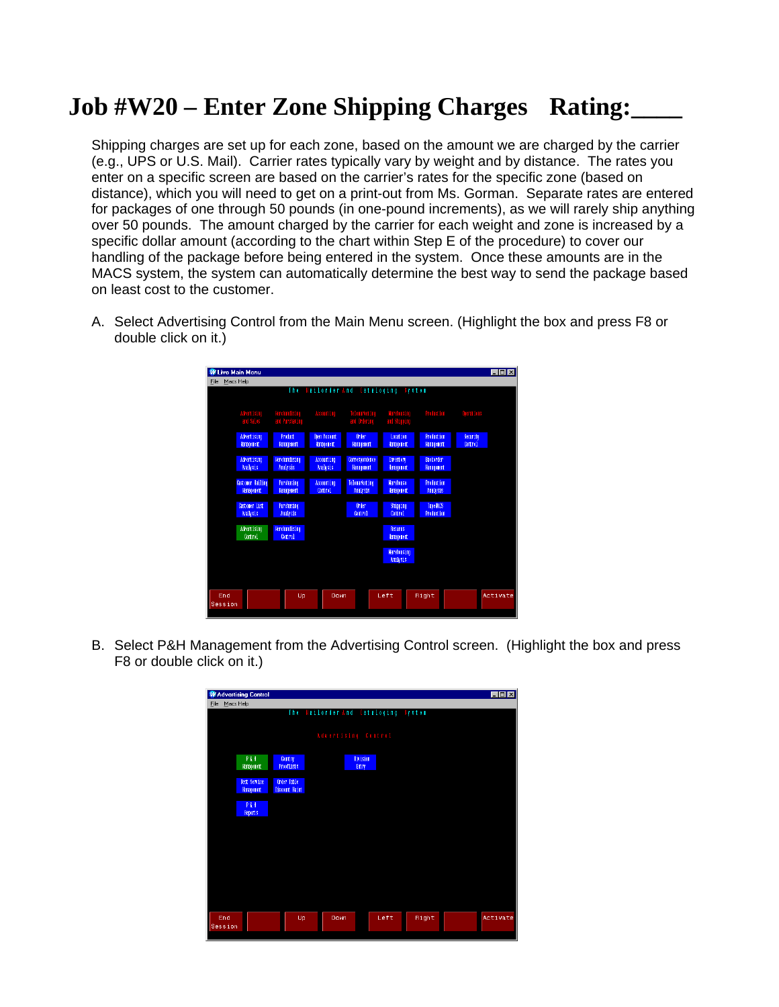## **Job #W20 – Enter Zone Shipping Charges Rating:\_\_\_\_**

Shipping charges are set up for each zone, based on the amount we are charged by the carrier (e.g., UPS or U.S. Mail). Carrier rates typically vary by weight and by distance. The rates you enter on a specific screen are based on the carrier's rates for the specific zone (based on distance), which you will need to get on a print-out from Ms. Gorman. Separate rates are entered for packages of one through 50 pounds (in one-pound increments), as we will rarely ship anything over 50 pounds. The amount charged by the carrier for each weight and zone is increased by a specific dollar amount (according to the chart within Step E of the procedure) to cover our handling of the package before being entered in the system. Once these amounts are in the MACS system, the system can automatically determine the best way to send the package based on least cost to the customer.

- W Live Main Menu  $\Box$ o $\boxtimes$ File Macs Help **Location**<br>Banadement Movertising<br>Control Marehousi<br>Analysis Down Right Up Left End Activa
- A. Select Advertising Control from the Main Menu screen. (Highlight the box and press F8 or double click on it.)

B. Select P&H Management from the Advertising Control screen. (Highlight the box and press F8 or double click on it.)

|         | M Advertising Control |                                     |                                     |      |       | EDX      |
|---------|-----------------------|-------------------------------------|-------------------------------------|------|-------|----------|
| File    | Macs Help             |                                     |                                     |      |       |          |
|         |                       |                                     | The Hailorder And Cataloging System |      |       |          |
|         |                       |                                     |                                     |      |       |          |
|         |                       |                                     | Advertising Control                 |      |       |          |
|         | PEH                   |                                     | <b>Division</b>                     |      |       |          |
|         | Hanagenent            | <b>Country</b><br><b>Prooflists</b> | Entry                               |      |       |          |
|         | <b>Best Service</b>   | Order Table                         |                                     |      |       |          |
|         | Hanagenent            | Discount Haint                      |                                     |      |       |          |
|         | PEH                   |                                     |                                     |      |       |          |
|         | Report s              |                                     |                                     |      |       |          |
|         |                       |                                     |                                     |      |       |          |
|         |                       |                                     |                                     |      |       |          |
|         |                       |                                     |                                     |      |       |          |
|         |                       |                                     |                                     |      |       |          |
|         |                       |                                     |                                     |      |       |          |
|         |                       |                                     |                                     |      |       |          |
|         |                       |                                     |                                     |      |       |          |
|         |                       |                                     |                                     |      |       |          |
| End     |                       | Up                                  | Down                                | Left | Right | Activate |
| Session |                       |                                     |                                     |      |       |          |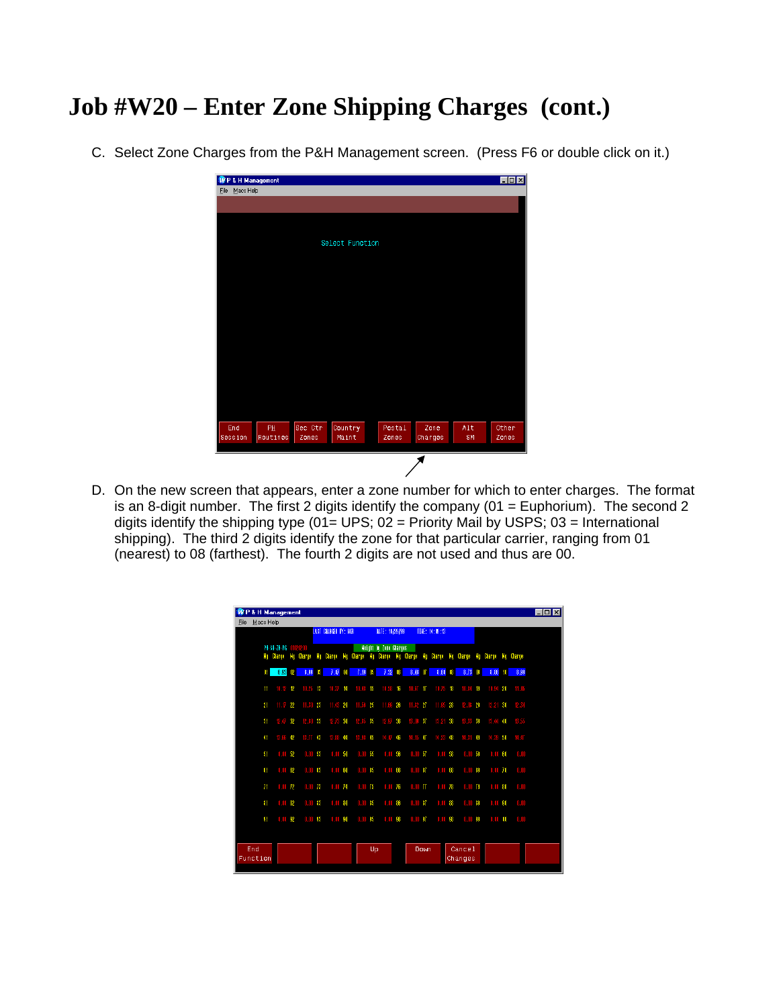## **Job #W20 – Enter Zone Shipping Charges (cont.)**

C. Select Zone Charges from the P&H Management screen. (Press F6 or double click on it.)

|                | <b>WP &amp; H Management</b> |         |                 |        |         |      | $\Box$ D $\boxtimes$ |
|----------------|------------------------------|---------|-----------------|--------|---------|------|----------------------|
| File Macs Help |                              |         |                 |        |         |      |                      |
|                |                              |         |                 |        |         |      |                      |
|                |                              |         |                 |        |         |      |                      |
|                |                              |         |                 |        |         |      |                      |
|                |                              |         |                 |        |         |      |                      |
|                |                              |         | Select Function |        |         |      |                      |
|                |                              |         |                 |        |         |      |                      |
|                |                              |         |                 |        |         |      |                      |
|                |                              |         |                 |        |         |      |                      |
|                |                              |         |                 |        |         |      |                      |
|                |                              |         |                 |        |         |      |                      |
|                |                              |         |                 |        |         |      |                      |
|                |                              |         |                 |        |         |      |                      |
|                |                              |         |                 |        |         |      |                      |
|                |                              |         |                 |        |         |      |                      |
|                |                              |         |                 |        |         |      |                      |
|                |                              |         |                 |        |         |      |                      |
|                |                              |         |                 |        |         |      |                      |
|                |                              |         |                 |        |         |      |                      |
|                |                              |         |                 |        |         |      |                      |
|                |                              |         |                 |        |         |      |                      |
|                |                              |         |                 |        |         |      |                      |
| End            | PH.                          | Sec Ctr | Country         | Postal | Zone    | Alt. | Other                |
| Session        | Routines                     | Zones   | Maint           | Zones  | Charges | SM   | Zones                |
|                |                              |         |                 |        |         |      |                      |
|                |                              |         |                 |        |         |      |                      |

D. On the new screen that appears, enter a zone number for which to enter charges. The format is an 8-digit number. The first 2 digits identify the company ( $01 = \text{Euphorium}$ ). The second 2 digits identify the shipping type (01= UPS;  $02$  = Priority Mail by USPS;  $03$  = International shipping). The third 2 digits identify the zone for that particular carrier, ranging from 01 (nearest) to 08 (farthest). The fourth 2 digits are not used and thus are 00.

|              |                                |              |              |       | LAST CHANGED BY: HGB |              |                |    | DATE: 10/29/99         |            |                    |           | TTHE: 14:08:13 |              |                                            |              |                  |    |        |
|--------------|--------------------------------|--------------|--------------|-------|----------------------|--------------|----------------|----|------------------------|------------|--------------------|-----------|----------------|--------------|--------------------------------------------|--------------|------------------|----|--------|
| No           | PH-SH-ZH-PG 01020200<br>Charge |              | Mg Charge Mg |       | Charge               | Mo           | Charge         |    | Meight by Zone Charges |            |                    |           |                |              | Ng Change Ng Change Ng Change Ng Change Ng |              | Charge Mg Charge |    |        |
| 81           | 6.93                           | $\mathbf{R}$ | 6.99         | G     | 7.07                 | $\mathbf{M}$ | $7.19\%$       |    | 7.32                   | $\sqrt{6}$ | 8,46               | <b>ID</b> | 8.60           | $\mathbf{B}$ | 8.73                                       | $\mathbf{0}$ | 8.86             | 10 | 8.99   |
| $\mathbf{H}$ | $10.12 \quad 12$               |              | $10.25$ 13   |       | 10.37 14             |              | 10.48          | 15 | $10.58$ 16             |            | $10.67$ 17         |           | $10.75 - 18$   |              | 10.84 19                                   |              | 10.94 20         |    | 11.06  |
| 21           | 11.1722                        |              | 11.30 23     |       | 11.43 24             |              | 11.56 25       |    | 11.69 26               |            | $11.82 + 27$       |           | 11.95 28       |              | 12.03                                      | 29           | $12.21 - 30$     |    | 12.34  |
| 31           | 12.47                          | 32           | $12.60$ 33   |       | $12.73$ 34           |              | $12.35 \t{35}$ |    | $12.97 - 36$           |            | 18 . B             | 37        | $13.21$ 38     |              | $13.33 \t39$                               |              | $13.44 - 40$     |    | 13 .SS |
| 41           | 18.BB                          | 42           | 情度           | $-43$ | 13.88 44             |              | 13.98          | 45 | $14.07 - 46$           |            | $14.15$ $qT$       |           | 14.23 48       |              | 14.31 49                                   |              | $14.39 + 50$     |    | 14     |
| 51           | 0.0052                         |              | $0.00 - 53$  |       | $0.00 - 54$          |              | $0.00 - 55$    |    | 0.0056                 |            | 0.00 <sub>57</sub> |           | 0.0068         |              | $0.00 - $9$                                |              | $0.00 - 60$      |    | n.m    |
| 81           | $0.00 - 62$                    |              | $0.00 - 63$  |       | $0.00 - 64$          |              | $0.00 - 65$    |    | n.m                    | 66         | $0.00 - 67$        |           | 0.00           | 68           | 0.00                                       | 69           | $0.00 - 70$      |    | n.m    |
| 71           | $0.00$ 72                      |              | $0.00$ 73    |       | $0.00 - 74$          |              | $0.00$ 75      |    | $0.00 - 76$            |            | $0.00$ $m$         |           | 0.0078         |              | $0.00$ 79                                  |              | $0.00 - 80$      |    | 0.00   |
| 81           | $0.00 - 82$                    |              | $0.00 - 83$  |       | $0.00 - 84$          |              | $0.00 - 85$    |    | $0.00 - 86$            |            | $0.00 - 87$        |           | $0.00 - 88$    |              | $0.00 - 39$                                |              | $0.00 - 90$      |    | n.m    |
| 91           | $0.00 - 92$                    |              | $0.00 - 93$  |       | $0.00 - 94$          |              | m.m            | 95 | . N. MI                | 96         | n.m                | 97        | 0.00           | 98           | $0.00 - 99$                                |              | n.m              | m  | n. m   |
|              |                                |              |              |       |                      |              |                |    |                        |            |                    |           |                |              |                                            |              |                  |    |        |